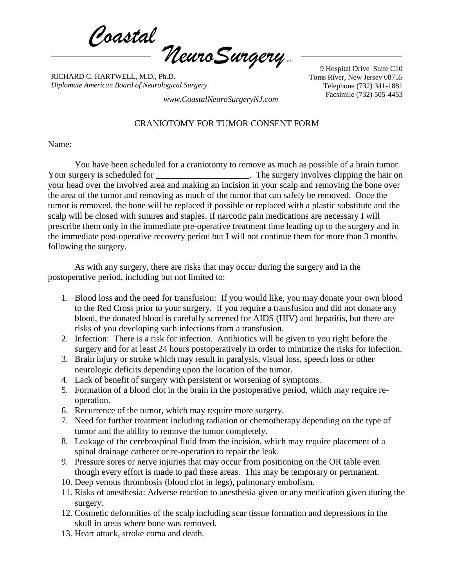*Coastal NeuroSurgery* P.A.

RICHARD C. HARTWELL, M.D., Ph.D. *Diplomate American Board of Neurological Surgery*

9 Hospital Drive Suite C10 Toms River, New Jersey 08755 Telephone (732) 341-1881 Facsimile (732) 505-4453 *www.CoastalNeuroSurgeryNJ.com*

## CRANIOTOMY FOR TUMOR CONSENT FORM

Name:

You have been scheduled for a craniotomy to remove as much as possible of a brain tumor. Your surgery is scheduled for **Network** The surgery involves clipping the hair on your head over the involved area and making an incision in your scalp and removing the bone over the area of the tumor and removing as much of the tumor that can safely be removed. Once the tumor is removed, the bone will be replaced if possible or replaced with a plastic substitute and the scalp will be closed with sutures and staples. If narcotic pain medications are necessary I will prescribe them only in the immediate pre-operative treatment time leading up to the surgery and in the immediate post-operative recovery period but I will not continue them for more than 3 months following the surgery.

As with any surgery, there are risks that may occur during the surgery and in the postoperative period, including but not limited to:

- 1. Blood loss and the need for transfusion: If you would like, you may donate your own blood to the Red Cross prior to your surgery. If you require a transfusion and did not donate any blood, the donated blood is carefully screened for AIDS (HIV) and hepatitis, but there are risks of you developing such infections from a transfusion.
- 2. Infection: There is a risk for infection. Antibiotics will be given to you right before the surgery and for at least 24 hours postoperatively in order to minimize the risks for infection.
- 3. Brain injury or stroke which may result in paralysis, visual loss, speech loss or other neurologic deficits depending upon the location of the tumor.
- 4. Lack of benefit of surgery with persistent or worsening of symptoms.
- 5. Formation of a blood clot in the brain in the postoperative period, which may require reoperation.
- 6. Recurrence of the tumor, which may require more surgery.
- 7. Need for further treatment including radiation or chemotherapy depending on the type of tumor and the ability to remove the tumor completely.
- 8. Leakage of the cerebrospinal fluid from the incision, which may require placement of a spinal drainage catheter or re-operation to repair the leak.
- 9. Pressure sores or nerve injuries that may occur from positioning on the OR table even though every effort is made to pad these areas. This may be temporary or permanent.
- 10. Deep venous thrombosis (blood clot in legs), pulmonary embolism.
- 11. Risks of anesthesia: Adverse reaction to anesthesia given or any medication given during the surgery.
- 12. Cosmetic deformities of the scalp including scar tissue formation and depressions in the skull in areas where bone was removed.
- 13. Heart attack, stroke coma and death.